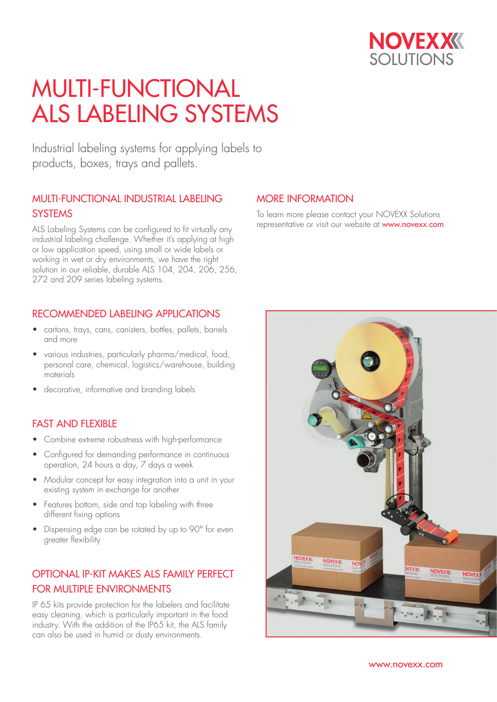

Industrial labeling systems for applying labels to products, boxes, trays and pallets.

### MULTI-FUNCTIONAL INDUSTRIAL LABELING **SYSTEMS**

ALS Labeling Systems can be configured to fit virtually any industrial labeling challenge. Whether it's applying at high or low application speed, using small or wide labels or working in wet or dry environments, we have the right solution in our reliable, durable ALS 104, 204, 206, 256, 272 and 209 series labeling systems.

#### RECOMMENDED LABELING APPLICATIONS

- cartons, trays, cans, canisters, bottles, pallets, barrels and more
- various industries, particularly pharma/medical, food, personal care, chemical, logistics/warehouse, building materials
- decorative, informative and branding labels

#### FAST AND FIFXIBLE

- Combine extreme robustness with high-performance
- Configured for demanding performance in continuous operation, 24 hours a day, 7 days a week
- Modular concept for easy integration into a unit in your existing system in exchange for another
- Features bottom, side and top labeling with three different fixing options
- Dispensing edge can be rotated by up to 90° for even greater flexibility

### OPTIONAL IP-KIT MAKES ALS FAMILY PERFECT FOR MULTIPLE ENVIRONMENTS

IP 65 kits provide protection for the labelers and facilitate easy cleaning, which is particularly important in the food industry. With the addition of the IP65 kit, the ALS family can also be used in humid or dusty environments.

#### MORE INFORMATION

To learn more please contact your NOVEXX Solutions representative or visit our website at www.novexx.com.

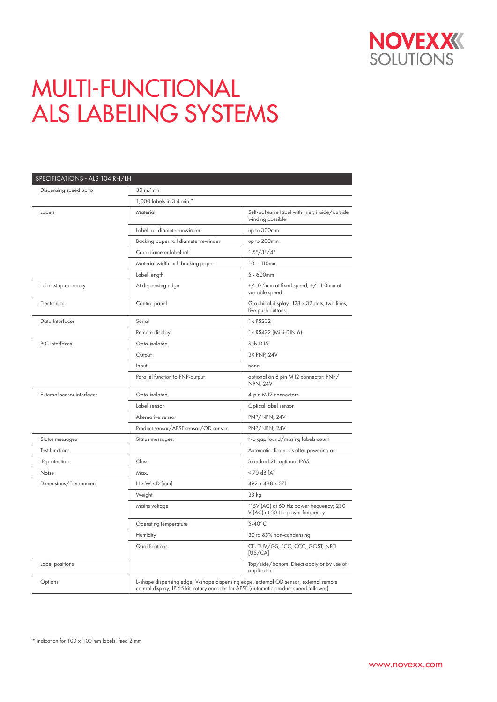

| SPECIFICATIONS - ALS 104 RH/LH |                                                                                                                                                                                 |                                                                            |  |  |  |  |
|--------------------------------|---------------------------------------------------------------------------------------------------------------------------------------------------------------------------------|----------------------------------------------------------------------------|--|--|--|--|
| Dispensing speed up to         | 30 m/min                                                                                                                                                                        |                                                                            |  |  |  |  |
|                                | 1,000 labels in 3.4 min.*                                                                                                                                                       |                                                                            |  |  |  |  |
| Labels                         | Material                                                                                                                                                                        | Self-adhesive label with liner; inside/outside<br>winding possible         |  |  |  |  |
|                                | Label roll diameter unwinder                                                                                                                                                    | up to 300mm                                                                |  |  |  |  |
|                                | Backing paper roll diameter rewinder                                                                                                                                            | up to 200mm                                                                |  |  |  |  |
|                                | Core diameter label roll                                                                                                                                                        | 1.5''/3''/4''                                                              |  |  |  |  |
|                                | Material width incl. backing paper                                                                                                                                              | $10 - 110$ mm                                                              |  |  |  |  |
|                                | Label length                                                                                                                                                                    | 5 - 600mm                                                                  |  |  |  |  |
| Label stop accuracy            | At dispensing edge                                                                                                                                                              | +/- 0.5mm at fixed speed; +/- 1.0mm at<br>variable speed                   |  |  |  |  |
| Electronics                    | Control panel                                                                                                                                                                   | Graphical display, 128 x 32 dots, two lines,<br>five push buttons          |  |  |  |  |
| Data Interfaces                | Serial                                                                                                                                                                          | 1x RS232                                                                   |  |  |  |  |
|                                | Remote display                                                                                                                                                                  | 1x RS422 (Mini-DIN 6)                                                      |  |  |  |  |
| PLC Interfaces                 | Opto-isolated                                                                                                                                                                   | $Sub-D15$                                                                  |  |  |  |  |
|                                | Output                                                                                                                                                                          | 3X PNP, 24V                                                                |  |  |  |  |
|                                | Input                                                                                                                                                                           | none                                                                       |  |  |  |  |
|                                | Parallel function to PNP-output                                                                                                                                                 | optional on 8 pin M12 connector: PNP/<br><b>NPN, 24V</b>                   |  |  |  |  |
| External sensor interfaces     | Opto-isolated                                                                                                                                                                   | 4-pin M12 connectors                                                       |  |  |  |  |
|                                | Label sensor                                                                                                                                                                    | Optical label sensor                                                       |  |  |  |  |
|                                | Alternative sensor                                                                                                                                                              | PNP/NPN, 24V                                                               |  |  |  |  |
|                                | Product sensor/APSF sensor/OD sensor                                                                                                                                            | PNP/NPN, 24V                                                               |  |  |  |  |
| Status messages                | Status messages:                                                                                                                                                                | No gap found/missing labels count                                          |  |  |  |  |
| <b>Test functions</b>          |                                                                                                                                                                                 | Automatic diagnosis after powering on                                      |  |  |  |  |
| IP-protection                  | Class                                                                                                                                                                           | Standard 21, optional IP65                                                 |  |  |  |  |
| Noise                          | Max.                                                                                                                                                                            | $<$ 70 dB [A]                                                              |  |  |  |  |
| Dimensions/Environment         | $H \times W \times D$ [mm]                                                                                                                                                      | 492 x 488 x 371                                                            |  |  |  |  |
|                                | Weight                                                                                                                                                                          | 33 kg                                                                      |  |  |  |  |
|                                | Mains voltage                                                                                                                                                                   | 115V (AC) at 60 Hz power frequency; 230<br>V (AC) at 50 Hz power frequency |  |  |  |  |
|                                | Operating temperature                                                                                                                                                           | $5-40^{\circ}$ C                                                           |  |  |  |  |
|                                | Humidity                                                                                                                                                                        | 30 to 85% non-condensing                                                   |  |  |  |  |
|                                | Qualifications                                                                                                                                                                  | CE, TUV/GS, FCC, CCC, GOST, NRTL<br>[US/CA]                                |  |  |  |  |
| Label positions                |                                                                                                                                                                                 | Top/side/bottom. Direct apply or by use of<br>applicator                   |  |  |  |  |
| Options                        | L-shape dispensing edge, V-shape dispensing edge, external OD sensor, external remote<br>control display, IP 65 kit, rotary encoder for APSF (automatic product speed follower) |                                                                            |  |  |  |  |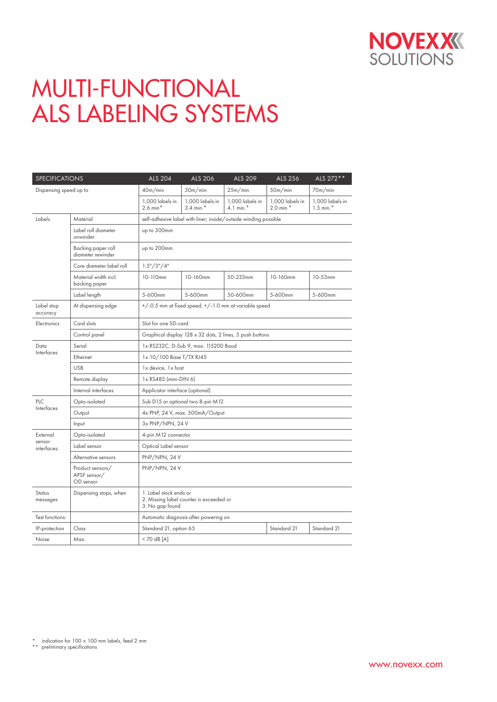

| <b>SPECIFICATIONS</b>  |                                               | <b>ALS 204</b>                                                                       | ALS 206                           | ALS 209                                    | ALS 256                           | ALS 272 **                        |  |
|------------------------|-----------------------------------------------|--------------------------------------------------------------------------------------|-----------------------------------|--------------------------------------------|-----------------------------------|-----------------------------------|--|
| Dispensing speed up to |                                               | 40m/min                                                                              | 30m/min                           | 25m/min                                    | 50m/min                           | 70m/min                           |  |
|                        |                                               | 1,000 labels in<br>$2.6$ min <sup>*</sup>                                            | 1,000 labels in<br>$3.4$ min. $*$ | 1,000 labels in<br>$4.1$ min. <sup>*</sup> | 1,000 labels in<br>$2.0$ min. $*$ | 1,000 labels in<br>$1.5$ min. $*$ |  |
| Labels                 | Material                                      | self-adhesive label with liner; inside/outside winding possible                      |                                   |                                            |                                   |                                   |  |
|                        | Label roll diameter<br>unwinder               | up to 300mm                                                                          |                                   |                                            |                                   |                                   |  |
|                        | Backing paper roll<br>diameter rewinder       | up to 200mm                                                                          |                                   |                                            |                                   |                                   |  |
|                        | Core diameter label roll                      | 1.5" / 3" / 4"                                                                       |                                   |                                            |                                   |                                   |  |
|                        | Material width incl.<br>backing paper         | 10-110mm                                                                             | 10-160mm                          | 50-233mm                                   | 10-160mm                          | $10 - 53$ mm                      |  |
|                        | Label length                                  | 5-600mm                                                                              | 5-600mm                           | 50-600mm                                   | 5-600mm                           | 5-600mm                           |  |
| Label stop<br>accuracy | At dispensing edge                            | +/-0.5 mm at fixed speed; +/-1.0 mm at variable speed                                |                                   |                                            |                                   |                                   |  |
| <b>Electronics</b>     | Card slots                                    | Slot for one SD-card                                                                 |                                   |                                            |                                   |                                   |  |
|                        | Control panel                                 | Graphical display 128 x 32 dots, 2 lines, 5 push buttons                             |                                   |                                            |                                   |                                   |  |
| Data                   | Serial                                        | 1x RS232C, D-Sub 9, max. 115200 Baud                                                 |                                   |                                            |                                   |                                   |  |
| Interfaces             | Ethernet                                      | 1x 10/100 Base T/TX RJ45                                                             |                                   |                                            |                                   |                                   |  |
|                        | <b>USB</b>                                    | 1x device, 1x host                                                                   |                                   |                                            |                                   |                                   |  |
|                        | Remote display                                | 1x RS485 (mini-DIN 6)                                                                |                                   |                                            |                                   |                                   |  |
|                        | Internal interfaces                           | Applicator interface (optional)                                                      |                                   |                                            |                                   |                                   |  |
| PLC<br>Interfaces      | Opto-isolated                                 | Sub D15 or optional two 8-pin M12                                                    |                                   |                                            |                                   |                                   |  |
|                        | Output                                        | 4x PNP, 24 V, max. 500mA/Output                                                      |                                   |                                            |                                   |                                   |  |
|                        | Input                                         | 3x PNP/NPN, 24 V                                                                     |                                   |                                            |                                   |                                   |  |
| External               | Opto-isolated                                 | 4-pin M12 connector                                                                  |                                   |                                            |                                   |                                   |  |
| sensor<br>interfaces:  | Label sensor                                  | Optical Label sensor                                                                 |                                   |                                            |                                   |                                   |  |
|                        | Alternative sensors                           | PNP/NPN, 24 V                                                                        |                                   |                                            |                                   |                                   |  |
|                        | Product sensors/<br>APSF sensor/<br>OD sensor | PNP/NPN, 24 V                                                                        |                                   |                                            |                                   |                                   |  |
| Status<br>messages     | Dispensing stops, when                        | 1. Label stock ends or<br>2. Missing label counter is exceeded or<br>3. No gap found |                                   |                                            |                                   |                                   |  |
| Test functions:        |                                               | Automatic diagnosis after powering on                                                |                                   |                                            |                                   |                                   |  |
| IP-protection          | Class                                         | Standard 21<br>Standard 21<br>Standard 21, option 65                                 |                                   |                                            |                                   |                                   |  |
| Noise:                 | Max.                                          | $<$ 70 dB [A]                                                                        |                                   |                                            |                                   |                                   |  |

<sup>\*</sup> indication for 100 × 100 mm labels, feed 2 mm \*\* preliminary specifications